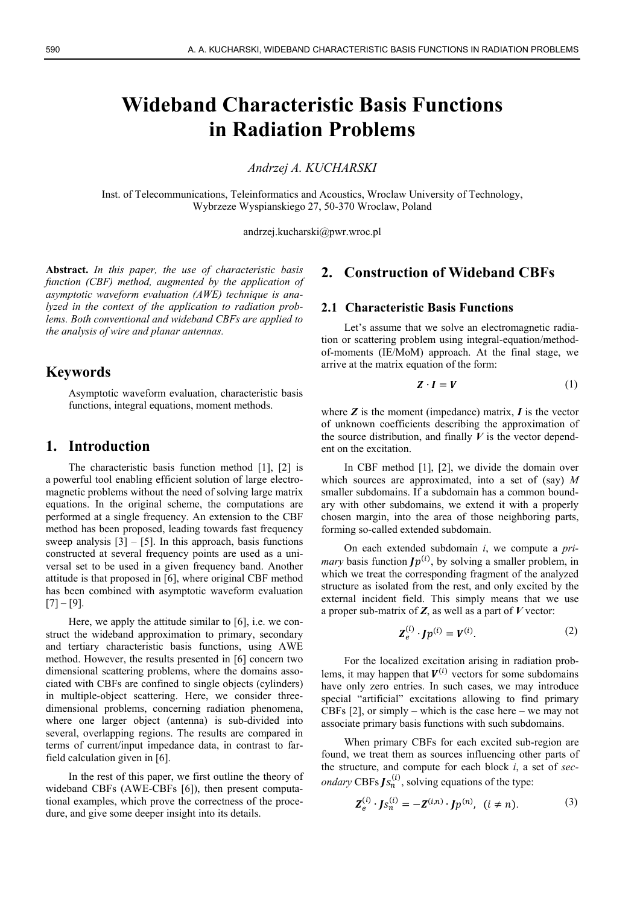# **Wideband Characteristic Basis Functions in Radiation Problems**

*Andrzej A. KUCHARSKI* 

Inst. of Telecommunications, Teleinformatics and Acoustics, Wroclaw University of Technology, Wybrzeze Wyspianskiego 27, 50-370 Wroclaw, Poland

andrzej.kucharski@pwr.wroc.pl

**Abstract.** *In this paper, the use of characteristic basis function (CBF) method, augmented by the application of asymptotic waveform evaluation (AWE) technique is analyzed in the context of the application to radiation problems. Both conventional and wideband CBFs are applied to the analysis of wire and planar antennas.* 

## **Keywords**

Asymptotic waveform evaluation, characteristic basis functions, integral equations, moment methods.

#### **1. Introduction**

The characteristic basis function method [1], [2] is a powerful tool enabling efficient solution of large electromagnetic problems without the need of solving large matrix equations. In the original scheme, the computations are performed at a single frequency. An extension to the CBF method has been proposed, leading towards fast frequency sweep analysis  $[3] - [5]$ . In this approach, basis functions constructed at several frequency points are used as a universal set to be used in a given frequency band. Another attitude is that proposed in [6], where original CBF method has been combined with asymptotic waveform evaluation  $[7] - [9]$ .

Here, we apply the attitude similar to [6], i.e. we construct the wideband approximation to primary, secondary and tertiary characteristic basis functions, using AWE method. However, the results presented in [6] concern two dimensional scattering problems, where the domains associated with CBFs are confined to single objects (cylinders) in multiple-object scattering. Here, we consider threedimensional problems, concerning radiation phenomena, where one larger object (antenna) is sub-divided into several, overlapping regions. The results are compared in terms of current/input impedance data, in contrast to farfield calculation given in [6].

In the rest of this paper, we first outline the theory of wideband CBFs (AWE-CBFs [6]), then present computational examples, which prove the correctness of the procedure, and give some deeper insight into its details.

## **2. Construction of Wideband CBFs**

#### **2.1 Characteristic Basis Functions**

Let's assume that we solve an electromagnetic radiation or scattering problem using integral-equation/methodof-moments (IE/MoM) approach. At the final stage, we arrive at the matrix equation of the form:

$$
Z \cdot I = V \tag{1}
$$

where  $Z$  is the moment (impedance) matrix,  $I$  is the vector of unknown coefficients describing the approximation of the source distribution, and finally  $V$  is the vector dependent on the excitation.

In CBF method [1], [2], we divide the domain over which sources are approximated, into a set of (say) *M* smaller subdomains. If a subdomain has a common boundary with other subdomains, we extend it with a properly chosen margin, into the area of those neighboring parts, forming so-called extended subdomain.

On each extended subdomain *i*, we compute a *primary* basis function  $Jp^{(i)}$ , by solving a smaller problem, in which we treat the corresponding fragment of the analyzed structure as isolated from the rest, and only excited by the external incident field. This simply means that we use a proper sub-matrix of *Z*, as well as a part of *V* vector:

$$
Z_e^{(i)} \cdot Jp^{(i)} = V^{(i)}.
$$
 (2)

For the localized excitation arising in radiation problems, it may happen that  $V^{(i)}$  vectors for some subdomains have only zero entries. In such cases, we may introduce special "artificial" excitations allowing to find primary CBFs  $[2]$ , or simply – which is the case here – we may not associate primary basis functions with such subdomains.

When primary CBFs for each excited sub-region are found, we treat them as sources influencing other parts of the structure, and compute for each block *i*, a set of *secondary* CBFs  $Js_n^{(i)}$ , solving equations of the type:

$$
Z_e^{(i)} \cdot J s_n^{(i)} = -Z^{(i,n)} \cdot J p^{(n)}, \ (i \neq n). \tag{3}
$$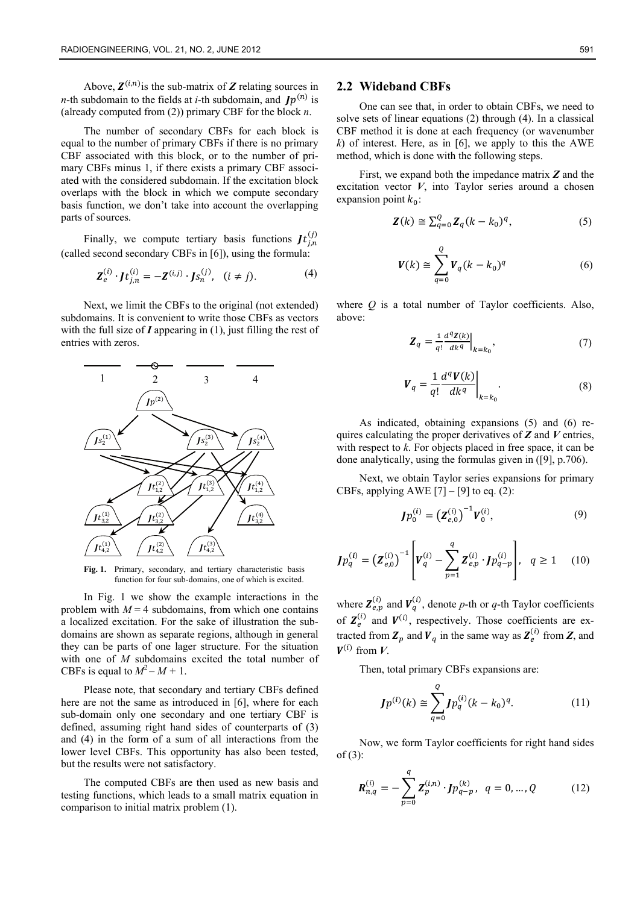Above,  $\mathbf{Z}^{(i,n)}$  is the sub-matrix of  $\mathbf{Z}$  relating sources in *n*-th subdomain to the fields at *i*-th subdomain, and  $Jp^{(n)}$  is (already computed from (2)) primary CBF for the block *n*.

The number of secondary CBFs for each block is equal to the number of primary CBFs if there is no primary CBF associated with this block, or to the number of primary CBFs minus 1, if there exists a primary CBF associated with the considered subdomain. If the excitation block overlaps with the block in which we compute secondary basis function, we don't take into account the overlapping parts of sources.

Finally, we compute tertiary basis functions  $Jt_{j,n}^{(j)}$ (called second secondary CBFs in [6]), using the formula:

$$
\mathbf{Z}_{e}^{(i)} \cdot \mathbf{J}t_{j,n}^{(i)} = -\mathbf{Z}^{(i,j)} \cdot \mathbf{J}s_{n}^{(j)}, \quad (i \neq j).
$$
 (4)

Next, we limit the CBFs to the original (not extended) subdomains. It is convenient to write those CBFs as vectors with the full size of *I* appearing in (1), just filling the rest of entries with zeros.



**Fig. 1.** Primary, secondary, and tertiary characteristic basis function for four sub-domains, one of which is excited.

In Fig. 1 we show the example interactions in the problem with  $M = 4$  subdomains, from which one contains a localized excitation. For the sake of illustration the subdomains are shown as separate regions, although in general they can be parts of one lager structure. For the situation with one of *M* subdomains excited the total number of CBFs is equal to  $M^2 - M + 1$ .

Please note, that secondary and tertiary CBFs defined here are not the same as introduced in [6], where for each sub-domain only one secondary and one tertiary CBF is defined, assuming right hand sides of counterparts of (3) and (4) in the form of a sum of all interactions from the lower level CBFs. This opportunity has also been tested, but the results were not satisfactory.

The computed CBFs are then used as new basis and testing functions, which leads to a small matrix equation in comparison to initial matrix problem (1).

#### **2.2 Wideband CBFs**

One can see that, in order to obtain CBFs, we need to solve sets of linear equations (2) through (4). In a classical CBF method it is done at each frequency (or wavenumber *k*) of interest. Here, as in [6], we apply to this the AWE method, which is done with the following steps.

First, we expand both the impedance matrix *Z* and the excitation vector  $V$ , into Taylor series around a chosen expansion point  $k_0$ :

$$
\mathbf{Z}(k) \cong \sum_{q=0}^{Q} \mathbf{Z}_q (k - k_0)^q, \tag{5}
$$

$$
\boldsymbol{V}(k) \cong \sum_{q=0}^{Q} \boldsymbol{V}_q (k - k_0)^q
$$
 (6)

where *Q* is a total number of Taylor coefficients. Also, above:

$$
\mathbf{Z}_q = \frac{1}{q!} \frac{d^q \mathbf{Z}(k)}{dk^q} \Big|_{k=k_0},\tag{7}
$$

$$
V_q = \frac{1}{q!} \frac{d^q V(k)}{dk^q} \bigg|_{k=k_0}.
$$
 (8)

As indicated, obtaining expansions (5) and (6) requires calculating the proper derivatives of *Z* and *V* entries, with respect to *k*. For objects placed in free space, it can be done analytically, using the formulas given in ([9], p.706).

Next, we obtain Taylor series expansions for primary CBFs, applying AWE  $[7] - [9]$  to eq. (2):

$$
Jp_0^{(i)} = \left(\mathbf{Z}_{e,0}^{(i)}\right)^{-1} V_0^{(i)},\tag{9}
$$

$$
Jp_q^{(i)} = (Z_{e,0}^{(i)})^{-1} \left[ V_q^{(i)} - \sum_{p=1}^q Z_{e,p}^{(i)} \cdot Jp_{q-p}^{(i)} \right], \quad q \ge 1 \quad (10)
$$

where  $\mathbf{Z}_{e,p}^{(i)}$  and  $\mathbf{V}_q^{(i)}$ , denote p-th or q-th Taylor coefficients of  $\mathbf{Z}_{e}^{(i)}$  and  $\mathbf{V}^{(i)}$ , respectively. Those coefficients are extracted from  $\mathbf{Z}_p$  and  $\mathbf{V}_q$  in the same way as  $\mathbf{Z}_e^{(i)}$  from  $\mathbf{Z}$ , and  $V^{(i)}$  from *V*.

Then, total primary CBFs expansions are:

$$
Jp^{(i)}(k) \cong \sum_{q=0}^{Q} Jp_q^{(i)}(k - k_0)^q.
$$
 (11)

Now, we form Taylor coefficients for right hand sides of (3):

$$
\mathbf{R}_{n,q}^{(i)} = -\sum_{p=0}^{q} \mathbf{Z}_p^{(i,n)} \cdot \mathbf{J} p_{q-p}^{(k)}, \ \ q = 0, \dots, Q \tag{12}
$$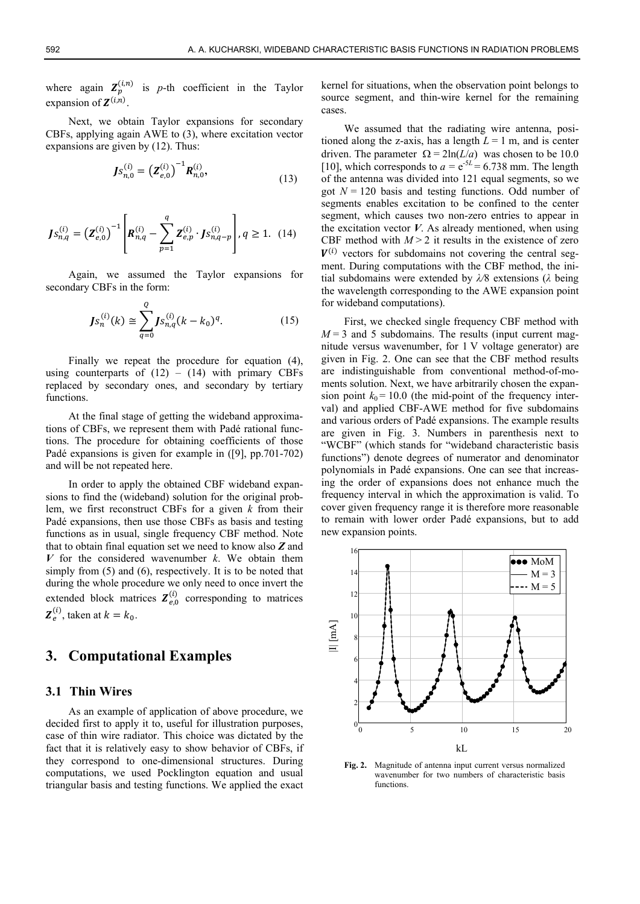where again  $\mathbf{Z}_p^{(i,n)}$  is p-th coefficient in the Taylor expansion of  $Z^{(i,n)}$ .

Next, we obtain Taylor expansions for secondary CBFs, applying again AWE to (3), where excitation vector expansions are given by (12). Thus:

$$
Js_{n,0}^{(i)} = (Z_{e,0}^{(i)})^{-1} R_{n,0}^{(i)},
$$
\n(13)

$$
Js_{n,q}^{(i)} = (Z_{e,0}^{(i)})^{-1} \left[ R_{n,q}^{(i)} - \sum_{p=1}^q Z_{e,p}^{(i)} \cdot J s_{n,q-p}^{(i)} \right], q \ge 1.
$$
 (14)

Again, we assumed the Taylor expansions for secondary CBFs in the form:

$$
Js_n^{(i)}(k) \cong \sum_{q=0}^{Q} Js_{n,q}^{(i)}(k - k_0)^q.
$$
 (15)

Finally we repeat the procedure for equation (4), using counterparts of  $(12) - (14)$  with primary CBFs replaced by secondary ones, and secondary by tertiary functions.

At the final stage of getting the wideband approximations of CBFs, we represent them with Padé rational functions. The procedure for obtaining coefficients of those Padé expansions is given for example in ([9], pp.701-702) and will be not repeated here.

In order to apply the obtained CBF wideband expansions to find the (wideband) solution for the original problem, we first reconstruct CBFs for a given *k* from their Padé expansions, then use those CBFs as basis and testing functions as in usual, single frequency CBF method. Note that to obtain final equation set we need to know also *Z* and  $V$  for the considered wavenumber  $k$ . We obtain them simply from  $(5)$  and  $(6)$ , respectively. It is to be noted that during the whole procedure we only need to once invert the extended block matrices  $\mathbf{Z}_{e,0}^{(i)}$  corresponding to matrices  $\mathbf{Z}_{e}^{(i)}$ , taken at  $k = k_0$ .

## **3. Computational Examples**

#### **3.1 Thin Wires**

As an example of application of above procedure, we decided first to apply it to, useful for illustration purposes. case of thin wire radiator. This choice was dictated by the fact that it is relatively easy to show behavior of CBFs, if they correspond to one-dimensional structures. During computations, we used Pocklington equation and usual triangular basis and testing functions. We applied the exact

kernel for situations, when the observation point belongs to source segment, and thin-wire kernel for the remaining cases.

We assumed that the radiating wire antenna, positioned along the z-axis, has a length  $L = 1$  m, and is center driven. The parameter  $\Omega = 2\ln(L/a)$  was chosen to be 10.0 [10], which corresponds to  $a = e^{-5L} = 6.738$  mm. The length of the antenna was divided into 121 equal segments, so we got  $N = 120$  basis and testing functions. Odd number of segments enables excitation to be confined to the center segment, which causes two non-zero entries to appear in the excitation vector  $V$ . As already mentioned, when using CBF method with  $M > 2$  it results in the existence of zero  $V^{(i)}$  vectors for subdomains not covering the central segment. During computations with the CBF method, the initial subdomains were extended by *λ/*8 extensions (*λ* being the wavelength corresponding to the AWE expansion point for wideband computations).

First, we checked single frequency CBF method with  $M = 3$  and 5 subdomains. The results (input current magnitude versus wavenumber, for 1 V voltage generator) are given in Fig. 2. One can see that the CBF method results are indistinguishable from conventional method-of-moments solution. Next, we have arbitrarily chosen the expansion point  $k_0$  = 10.0 (the mid-point of the frequency interval) and applied CBF-AWE method for five subdomains and various orders of Padé expansions. The example results are given in Fig. 3. Numbers in parenthesis next to "WCBF" (which stands for "wideband characteristic basis functions") denote degrees of numerator and denominator polynomials in Padé expansions. One can see that increasing the order of expansions does not enhance much the frequency interval in which the approximation is valid. To cover given frequency range it is therefore more reasonable to remain with lower order Padé expansions, but to add new expansion points.



**Fig. 2.** Magnitude of antenna input current versus normalized wavenumber for two numbers of characteristic basis functions.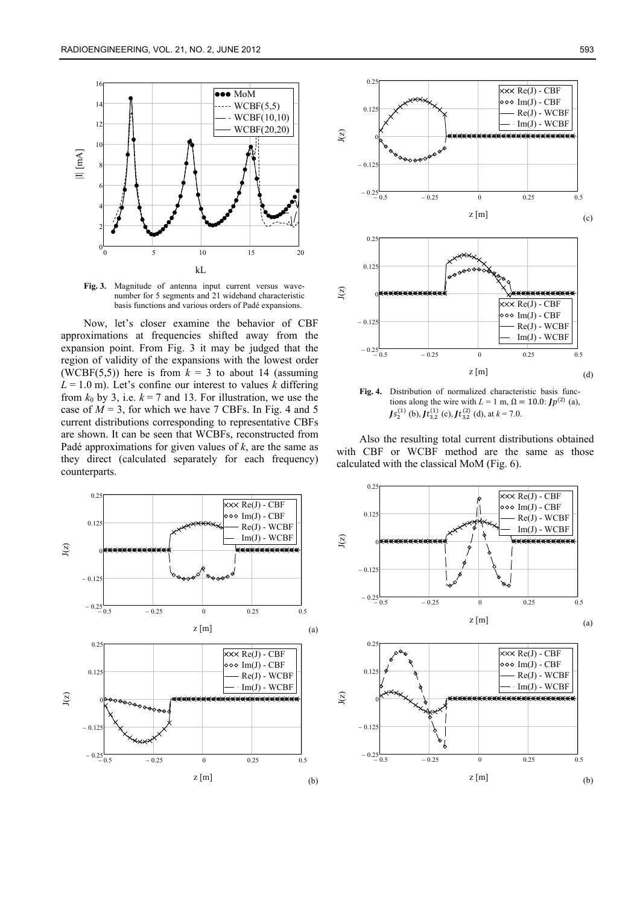

**Fig. 3.** Magnitude of antenna input current versus wavenumber for 5 segments and 21 wideband characteristic basis functions and various orders of Padé expansions.

Now, let's closer examine the behavior of CBF approximations at frequencies shifted away from the expansion point. From Fig. 3 it may be judged that the region of validity of the expansions with the lowest order (WCBF(5,5)) here is from  $k = 3$  to about 14 (assuming  $L = 1.0$  m). Let's confine our interest to values *k* differing from  $k_0$  by 3, i.e.  $k = 7$  and 13. For illustration, we use the case of  $M = 3$ , for which we have 7 CBFs. In Fig. 4 and 5 current distributions corresponding to representative CBFs are shown. It can be seen that WCBFs, reconstructed from Padé approximations for given values of  $k$ , are the same as they direct (calculated separately for each frequency) counterparts.





**Fig. 4.** Distribution of normalized characteristic basis functions along the wire with  $L = 1$  m,  $\Omega = 10.0$ :  $Jp^{(2)}$  (a),  $Js_2^{(1)}$  (b),  $Jt_{3,2}^{(1)}$  (c),  $Jt_{3,2}^{(2)}$  (d), at  $k = 7.0$ .

Also the resulting total current distributions obtained with CBF or WCBF method are the same as those calculated with the classical MoM (Fig. 6).

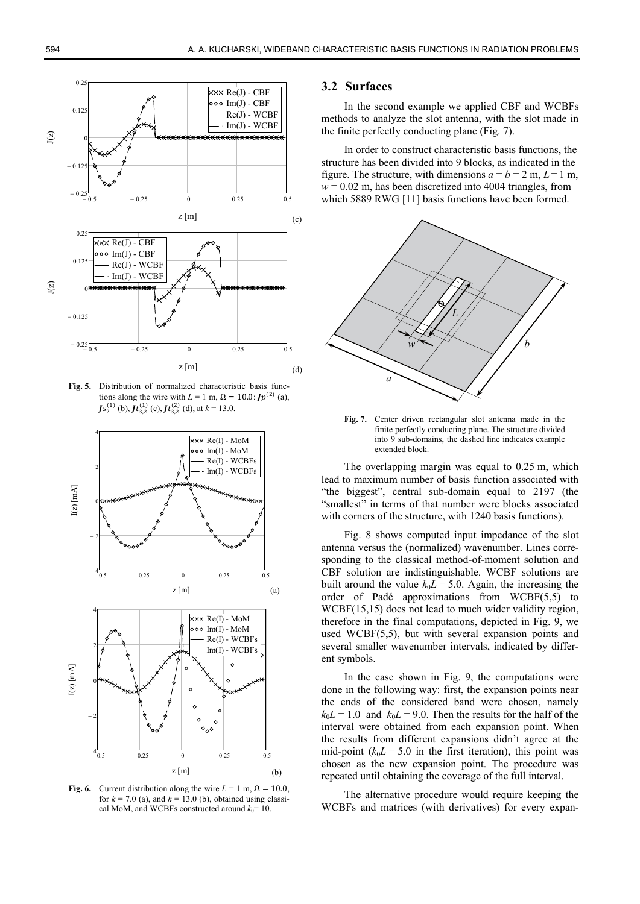

**Fig. 5.** Distribution of normalized characteristic basis functions along the wire with  $L = 1$  m,  $\Omega = 10.0$ :  $Jp^{(2)}$  (a),  $Js_2^{(1)}$  (b),  $Jt_{3,2}^{(1)}$  (c),  $Jt_{3,2}^{(2)}$  (d), at  $k = 13.0$ .



**Fig. 6.** Current distribution along the wire  $L = 1$  m,  $\Omega = 10.0$ , for  $k = 7.0$  (a), and  $k = 13.0$  (b), obtained using classical MoM, and WCBFs constructed around  $k_0$ = 10.

#### **3.2 Surfaces**

In the second example we applied CBF and WCBFs methods to analyze the slot antenna, with the slot made in the finite perfectly conducting plane (Fig. 7).

In order to construct characteristic basis functions, the structure has been divided into 9 blocks, as indicated in the figure. The structure, with dimensions  $a = b = 2$  m,  $L = 1$  m,  $w = 0.02$  m, has been discretized into 4004 triangles, from which 5889 RWG [11] basis functions have been formed.



**Fig. 7.** Center driven rectangular slot antenna made in the finite perfectly conducting plane. The structure divided into 9 sub-domains, the dashed line indicates example extended block.

The overlapping margin was equal to  $0.25$  m, which lead to maximum number of basis function associated with "the biggest", central sub-domain equal to 2197 (the "smallest" in terms of that number were blocks associated with corners of the structure, with 1240 basis functions).

Fig. 8 shows computed input impedance of the slot antenna versus the (normalized) wavenumber. Lines corresponding to the classical method-of-moment solution and CBF solution are indistinguishable. WCBF solutions are built around the value  $k_0L = 5.0$ . Again, the increasing the order of Padé approximations from WCBF(5,5) to WCBF(15,15) does not lead to much wider validity region, therefore in the final computations, depicted in Fig. 9, we used WCBF(5,5), but with several expansion points and several smaller wavenumber intervals, indicated by different symbols.

In the case shown in Fig. 9, the computations were done in the following way: first, the expansion points near the ends of the considered band were chosen, namely  $k_0L = 1.0$  and  $k_0L = 9.0$ . Then the results for the half of the interval were obtained from each expansion point. When the results from different expansions didn't agree at the mid-point  $(k_0L = 5.0$  in the first iteration), this point was chosen as the new expansion point. The procedure was repeated until obtaining the coverage of the full interval.

The alternative procedure would require keeping the WCBFs and matrices (with derivatives) for every expan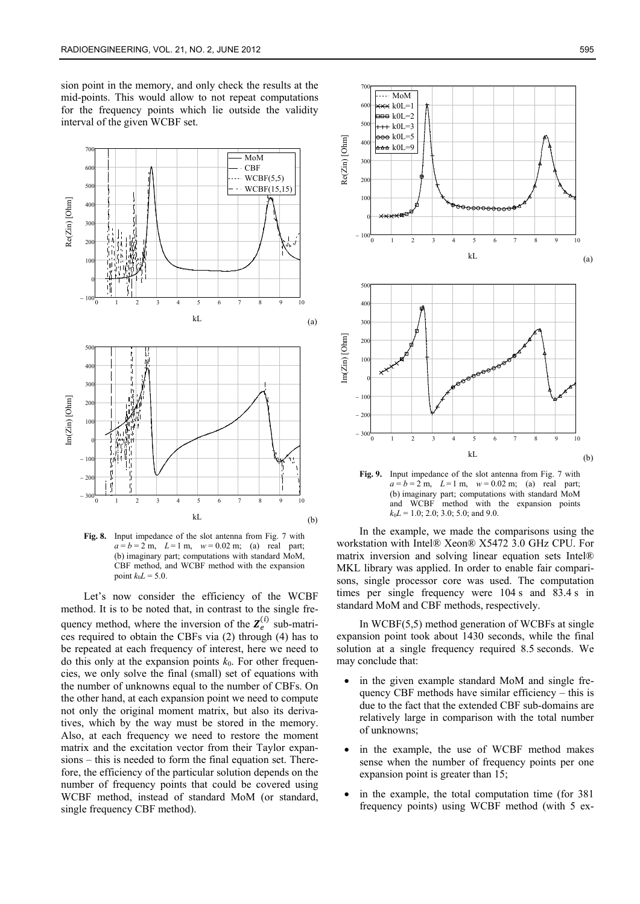sion point in the memory, and only check the results at the mid-points. This would allow to not repeat computations for the frequency points which lie outside the validity interval of the given WCBF set.



**Fig. 8.** Input impedance of the slot antenna from Fig. 7 with  $a = b = 2$  m,  $L = 1$  m,  $w = 0.02$  m; (a) real part; (b) imaginary part; computations with standard MoM, CBF method, and WCBF method with the expansion point  $k_0L = 5.0$ .

Let's now consider the efficiency of the WCBF method. It is to be noted that, in contrast to the single frequency method, where the inversion of the  $Z_e^{(i)}$  sub-matrices required to obtain the CBFs via (2) through (4) has to be repeated at each frequency of interest, here we need to do this only at the expansion points  $k_0$ . For other frequencies, we only solve the final (small) set of equations with the number of unknowns equal to the number of CBFs. On the other hand, at each expansion point we need to compute not only the original moment matrix, but also its derivatives, which by the way must be stored in the memory. Also, at each frequency we need to restore the moment matrix and the excitation vector from their Taylor expansions – this is needed to form the final equation set. Therefore, the efficiency of the particular solution depends on the number of frequency points that could be covered using WCBF method, instead of standard MoM (or standard, single frequency CBF method).



**Fig. 9.** Input impedance of the slot antenna from Fig. 7 with  $a = b = 2$  m,  $L = 1$  m,  $w = 0.02$  m; (a) real part; (b) imaginary part; computations with standard MoM and WCBF method with the expansion points  $k_0L = 1.0$ ; 2.0; 3.0; 5.0; and 9.0.

In the example, we made the comparisons using the workstation with Intel® Xeon® X5472 3.0 GHz CPU. For matrix inversion and solving linear equation sets Intel® MKL library was applied. In order to enable fair comparisons, single processor core was used. The computation times per single frequency were 104 s and 83.4 s in standard MoM and CBF methods, respectively.

In WCBF(5,5) method generation of WCBFs at single expansion point took about 1430 seconds, while the final solution at a single frequency required 8.5 seconds. We may conclude that:

- in the given example standard MoM and single frequency CBF methods have similar efficiency – this is due to the fact that the extended CBF sub-domains are relatively large in comparison with the total number of unknowns;
- in the example, the use of WCBF method makes sense when the number of frequency points per one expansion point is greater than 15;
- in the example, the total computation time (for 381 frequency points) using WCBF method (with 5 ex-